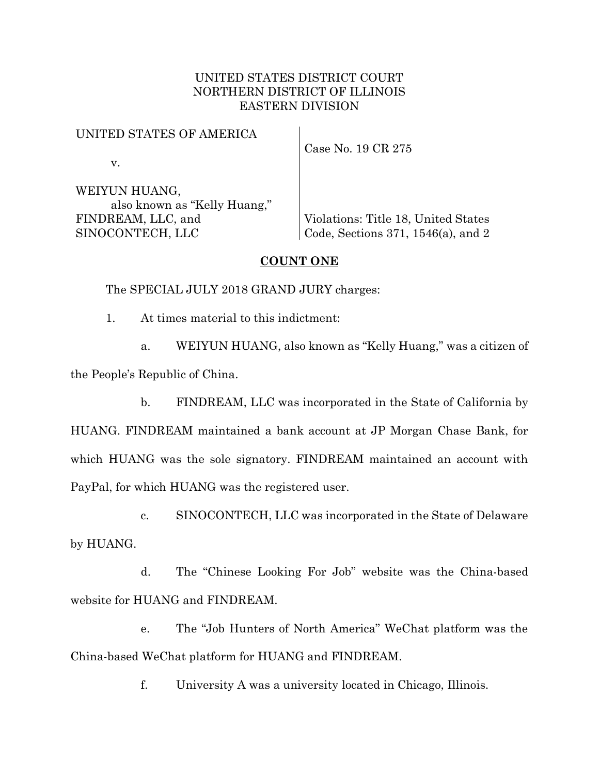## UNITED STATES DISTRICT COURT NORTHERN DISTRICT OF ILLINOIS EASTERN DIVISION

## UNITED STATES OF AMERICA

v.

Case No. 19 CR 275

WEIYUN HUANG, also known as "Kelly Huang," FINDREAM, LLC, and SINOCONTECH, LLC

Violations: Title 18, United States Code, Sections 371, 1546(a), and 2

## **COUNT ONE**

The SPECIAL JULY 2018 GRAND JURY charges:

1. At times material to this indictment:

a. WEIYUN HUANG, also known as "Kelly Huang," was a citizen of

the People's Republic of China.

b. FINDREAM, LLC was incorporated in the State of California by

HUANG. FINDREAM maintained a bank account at JP Morgan Chase Bank, for which HUANG was the sole signatory. FINDREAM maintained an account with PayPal, for which HUANG was the registered user.

c. SINOCONTECH, LLC was incorporated in the State of Delaware by HUANG.

d. The "Chinese Looking For Job" website was the China-based website for HUANG and FINDREAM.

e. The "Job Hunters of North America" WeChat platform was the China-based WeChat platform for HUANG and FINDREAM.

f. University A was a university located in Chicago, Illinois.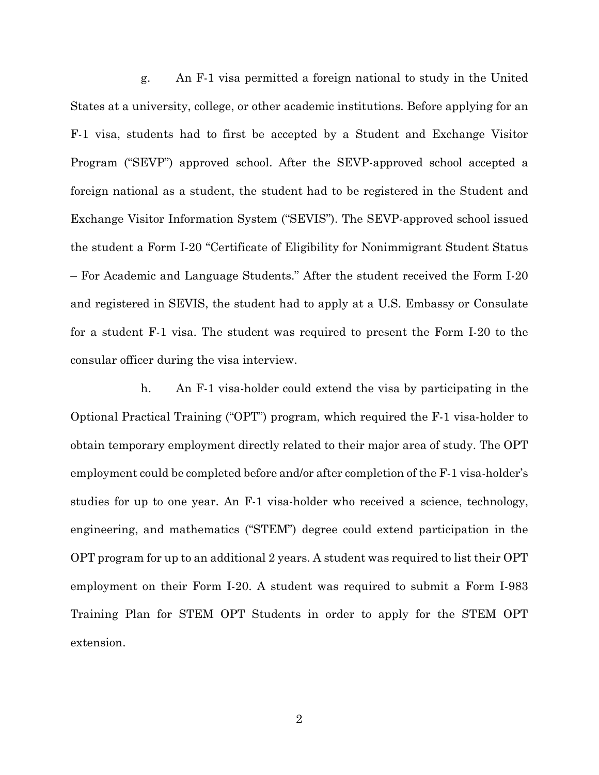g. An F-1 visa permitted a foreign national to study in the United States at a university, college, or other academic institutions. Before applying for an F-1 visa, students had to first be accepted by a Student and Exchange Visitor Program ("SEVP") approved school. After the SEVP-approved school accepted a foreign national as a student, the student had to be registered in the Student and Exchange Visitor Information System ("SEVIS"). The SEVP-approved school issued the student a Form I-20 "Certificate of Eligibility for Nonimmigrant Student Status – For Academic and Language Students." After the student received the Form I-20 and registered in SEVIS, the student had to apply at a U.S. Embassy or Consulate for a student F-1 visa. The student was required to present the Form I-20 to the consular officer during the visa interview.

h. An F-1 visa-holder could extend the visa by participating in the Optional Practical Training ("OPT") program, which required the F-1 visa-holder to obtain temporary employment directly related to their major area of study. The OPT employment could be completed before and/or after completion of the F-1 visa-holder's studies for up to one year. An F-1 visa-holder who received a science, technology, engineering, and mathematics ("STEM") degree could extend participation in the OPT program for up to an additional 2 years. A student was required to list their OPT employment on their Form I-20. A student was required to submit a Form I-983 Training Plan for STEM OPT Students in order to apply for the STEM OPT extension.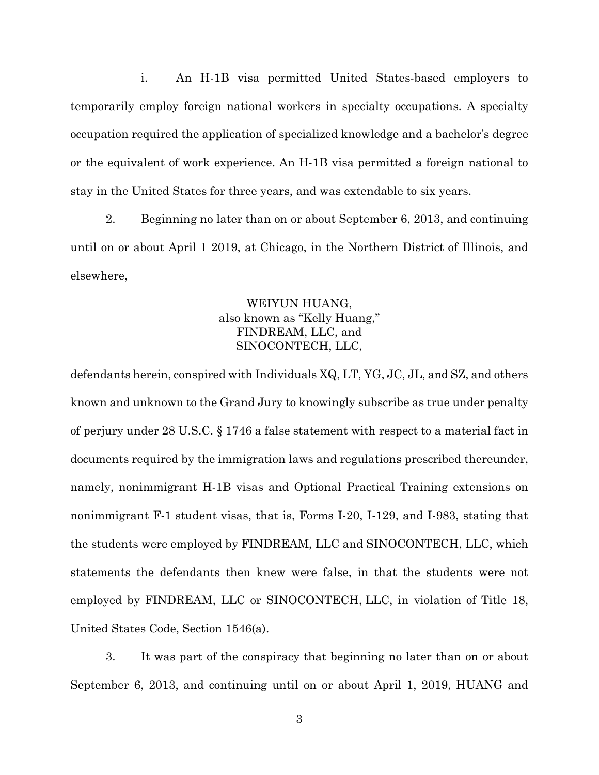i. An H-1B visa permitted United States-based employers to temporarily employ foreign national workers in specialty occupations. A specialty occupation required the application of specialized knowledge and a bachelor's degree or the equivalent of work experience. An H-1B visa permitted a foreign national to stay in the United States for three years, and was extendable to six years.

2. Beginning no later than on or about September 6, 2013, and continuing until on or about April 1 2019, at Chicago, in the Northern District of Illinois, and elsewhere,

# WEIYUN HUANG, also known as "Kelly Huang," FINDREAM, LLC, and SINOCONTECH, LLC,

defendants herein, conspired with Individuals XQ, LT, YG, JC, JL, and SZ, and others known and unknown to the Grand Jury to knowingly subscribe as true under penalty of perjury under 28 U.S.C. § 1746 a false statement with respect to a material fact in documents required by the immigration laws and regulations prescribed thereunder, namely, nonimmigrant H-1B visas and Optional Practical Training extensions on nonimmigrant F-1 student visas, that is, Forms I-20, I-129, and I-983, stating that the students were employed by FINDREAM, LLC and SINOCONTECH, LLC, which statements the defendants then knew were false, in that the students were not employed by FINDREAM, LLC or SINOCONTECH, LLC, in violation of Title 18, United States Code, Section 1546(a).

3. It was part of the conspiracy that beginning no later than on or about September 6, 2013, and continuing until on or about April 1, 2019, HUANG and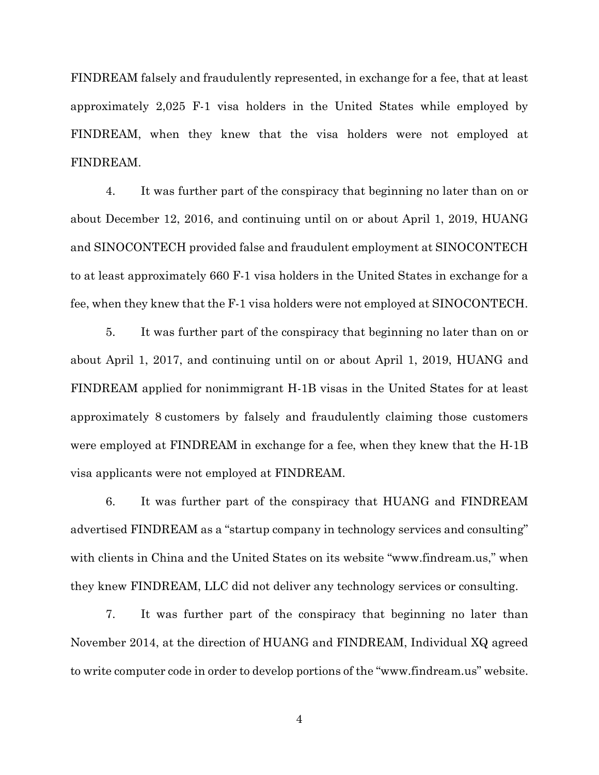FINDREAM falsely and fraudulently represented, in exchange for a fee, that at least approximately 2,025 F-1 visa holders in the United States while employed by FINDREAM, when they knew that the visa holders were not employed at FINDREAM.

4. It was further part of the conspiracy that beginning no later than on or about December 12, 2016, and continuing until on or about April 1, 2019, HUANG and SINOCONTECH provided false and fraudulent employment at SINOCONTECH to at least approximately 660 F-1 visa holders in the United States in exchange for a fee, when they knew that the F-1 visa holders were not employed at SINOCONTECH.

5. It was further part of the conspiracy that beginning no later than on or about April 1, 2017, and continuing until on or about April 1, 2019, HUANG and FINDREAM applied for nonimmigrant H-1B visas in the United States for at least approximately 8 customers by falsely and fraudulently claiming those customers were employed at FINDREAM in exchange for a fee, when they knew that the H-1B visa applicants were not employed at FINDREAM.

6. It was further part of the conspiracy that HUANG and FINDREAM advertised FINDREAM as a "startup company in technology services and consulting" with clients in China and the United States on its website "www.findream.us," when they knew FINDREAM, LLC did not deliver any technology services or consulting.

7. It was further part of the conspiracy that beginning no later than November 2014, at the direction of HUANG and FINDREAM, Individual XQ agreed to write computer code in order to develop portions of the "www.findream.us" website.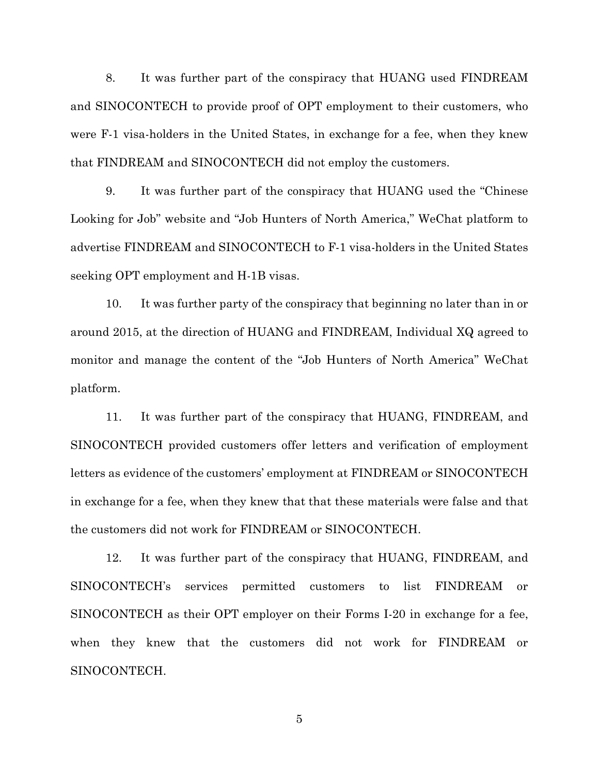8. It was further part of the conspiracy that HUANG used FINDREAM and SINOCONTECH to provide proof of OPT employment to their customers, who were F-1 visa-holders in the United States, in exchange for a fee, when they knew that FINDREAM and SINOCONTECH did not employ the customers.

9. It was further part of the conspiracy that HUANG used the "Chinese Looking for Job" website and "Job Hunters of North America," WeChat platform to advertise FINDREAM and SINOCONTECH to F-1 visa-holders in the United States seeking OPT employment and H-1B visas.

10. It was further party of the conspiracy that beginning no later than in or around 2015, at the direction of HUANG and FINDREAM, Individual XQ agreed to monitor and manage the content of the "Job Hunters of North America" WeChat platform.

11. It was further part of the conspiracy that HUANG, FINDREAM, and SINOCONTECH provided customers offer letters and verification of employment letters as evidence of the customers' employment at FINDREAM or SINOCONTECH in exchange for a fee, when they knew that that these materials were false and that the customers did not work for FINDREAM or SINOCONTECH.

12. It was further part of the conspiracy that HUANG, FINDREAM, and SINOCONTECH's services permitted customers to list FINDREAM or SINOCONTECH as their OPT employer on their Forms I-20 in exchange for a fee, when they knew that the customers did not work for FINDREAM or SINOCONTECH.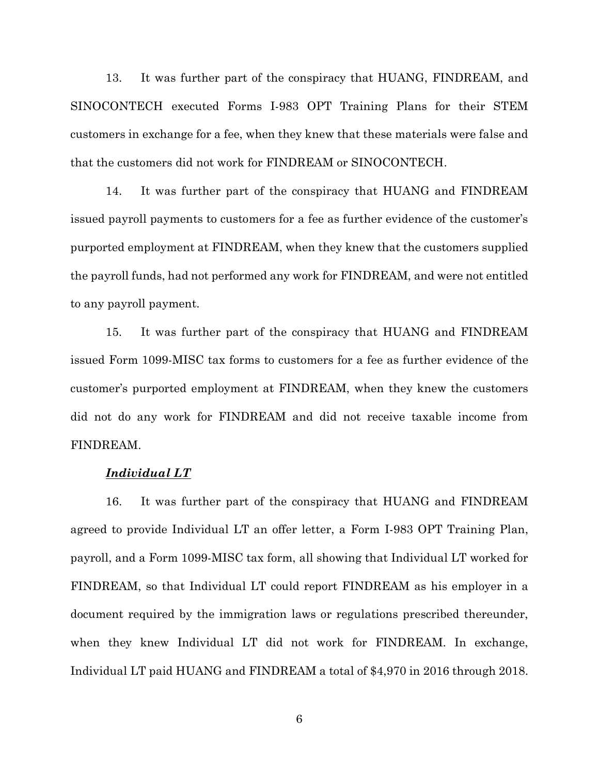13. It was further part of the conspiracy that HUANG, FINDREAM, and SINOCONTECH executed Forms I-983 OPT Training Plans for their STEM customers in exchange for a fee, when they knew that these materials were false and that the customers did not work for FINDREAM or SINOCONTECH.

14. It was further part of the conspiracy that HUANG and FINDREAM issued payroll payments to customers for a fee as further evidence of the customer's purported employment at FINDREAM, when they knew that the customers supplied the payroll funds, had not performed any work for FINDREAM, and were not entitled to any payroll payment.

15. It was further part of the conspiracy that HUANG and FINDREAM issued Form 1099-MISC tax forms to customers for a fee as further evidence of the customer's purported employment at FINDREAM, when they knew the customers did not do any work for FINDREAM and did not receive taxable income from FINDREAM.

### *Individual LT*

16. It was further part of the conspiracy that HUANG and FINDREAM agreed to provide Individual LT an offer letter, a Form I-983 OPT Training Plan, payroll, and a Form 1099-MISC tax form, all showing that Individual LT worked for FINDREAM, so that Individual LT could report FINDREAM as his employer in a document required by the immigration laws or regulations prescribed thereunder, when they knew Individual LT did not work for FINDREAM. In exchange, Individual LT paid HUANG and FINDREAM a total of \$4,970 in 2016 through 2018.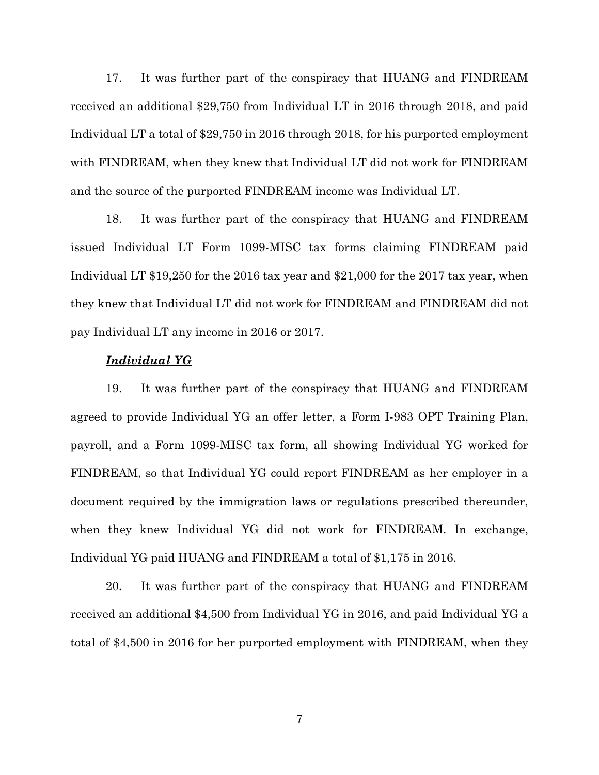17. It was further part of the conspiracy that HUANG and FINDREAM received an additional \$29,750 from Individual LT in 2016 through 2018, and paid Individual LT a total of \$29,750 in 2016 through 2018, for his purported employment with FINDREAM, when they knew that Individual LT did not work for FINDREAM and the source of the purported FINDREAM income was Individual LT.

18. It was further part of the conspiracy that HUANG and FINDREAM issued Individual LT Form 1099-MISC tax forms claiming FINDREAM paid Individual LT \$19,250 for the 2016 tax year and \$21,000 for the 2017 tax year, when they knew that Individual LT did not work for FINDREAM and FINDREAM did not pay Individual LT any income in 2016 or 2017.

## *Individual YG*

19. It was further part of the conspiracy that HUANG and FINDREAM agreed to provide Individual YG an offer letter, a Form I-983 OPT Training Plan, payroll, and a Form 1099-MISC tax form, all showing Individual YG worked for FINDREAM, so that Individual YG could report FINDREAM as her employer in a document required by the immigration laws or regulations prescribed thereunder, when they knew Individual YG did not work for FINDREAM. In exchange, Individual YG paid HUANG and FINDREAM a total of \$1,175 in 2016.

20. It was further part of the conspiracy that HUANG and FINDREAM received an additional \$4,500 from Individual YG in 2016, and paid Individual YG a total of \$4,500 in 2016 for her purported employment with FINDREAM, when they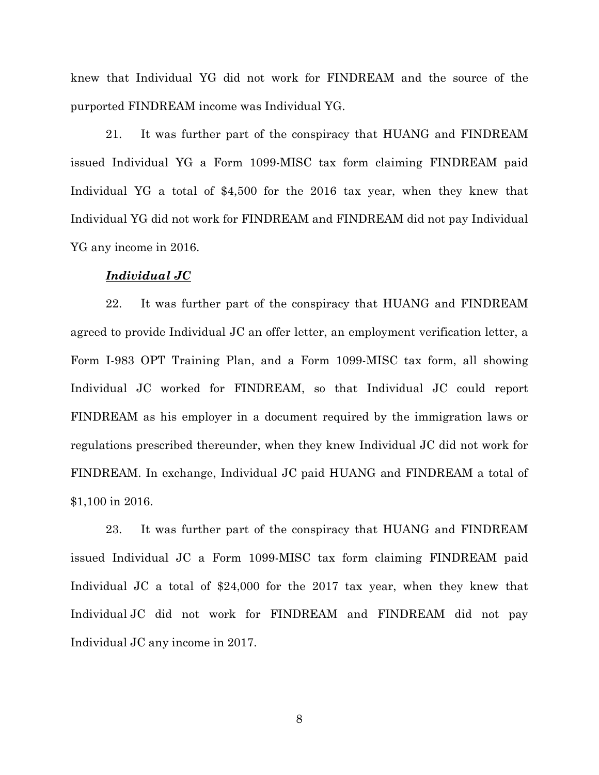knew that Individual YG did not work for FINDREAM and the source of the purported FINDREAM income was Individual YG.

21. It was further part of the conspiracy that HUANG and FINDREAM issued Individual YG a Form 1099-MISC tax form claiming FINDREAM paid Individual YG a total of \$4,500 for the 2016 tax year, when they knew that Individual YG did not work for FINDREAM and FINDREAM did not pay Individual YG any income in 2016.

#### *Individual JC*

22. It was further part of the conspiracy that HUANG and FINDREAM agreed to provide Individual JC an offer letter, an employment verification letter, a Form I-983 OPT Training Plan, and a Form 1099-MISC tax form, all showing Individual JC worked for FINDREAM, so that Individual JC could report FINDREAM as his employer in a document required by the immigration laws or regulations prescribed thereunder, when they knew Individual JC did not work for FINDREAM. In exchange, Individual JC paid HUANG and FINDREAM a total of \$1,100 in 2016.

23. It was further part of the conspiracy that HUANG and FINDREAM issued Individual JC a Form 1099-MISC tax form claiming FINDREAM paid Individual JC a total of \$24,000 for the 2017 tax year, when they knew that Individual JC did not work for FINDREAM and FINDREAM did not pay Individual JC any income in 2017.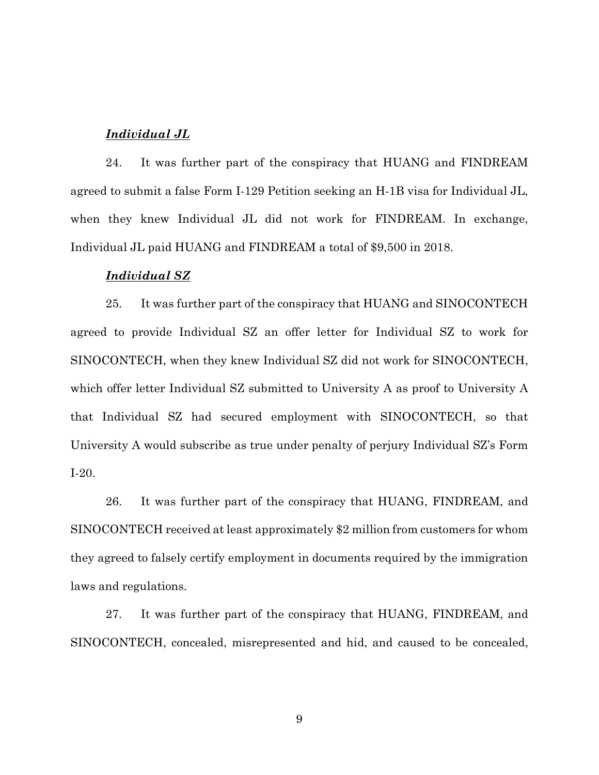## *Individual JL*

24. It was further part of the conspiracy that HUANG and FINDREAM agreed to submit a false Form I-129 Petition seeking an H-1B visa for Individual JL, when they knew Individual JL did not work for FINDREAM. In exchange, Individual JL paid HUANG and FINDREAM a total of \$9,500 in 2018.

### *Individual SZ*

25. It was further part of the conspiracy that HUANG and SINOCONTECH agreed to provide Individual SZ an offer letter for Individual SZ to work for SINOCONTECH, when they knew Individual SZ did not work for SINOCONTECH, which offer letter Individual SZ submitted to University A as proof to University A that Individual SZ had secured employment with SINOCONTECH, so that University A would subscribe as true under penalty of perjury Individual SZ's Form I-20.

26. It was further part of the conspiracy that HUANG, FINDREAM, and SINOCONTECH received at least approximately \$2 million from customers for whom they agreed to falsely certify employment in documents required by the immigration laws and regulations.

27. It was further part of the conspiracy that HUANG, FINDREAM, and SINOCONTECH, concealed, misrepresented and hid, and caused to be concealed,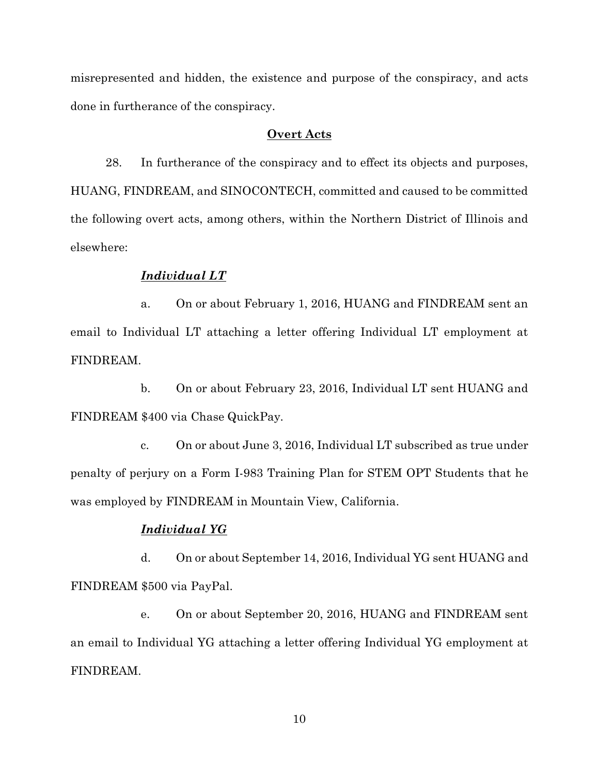misrepresented and hidden, the existence and purpose of the conspiracy, and acts done in furtherance of the conspiracy.

## **Overt Acts**

28. In furtherance of the conspiracy and to effect its objects and purposes, HUANG, FINDREAM, and SINOCONTECH, committed and caused to be committed the following overt acts, among others, within the Northern District of Illinois and elsewhere:

## *Individual LT*

a. On or about February 1, 2016, HUANG and FINDREAM sent an email to Individual LT attaching a letter offering Individual LT employment at FINDREAM.

b. On or about February 23, 2016, Individual LT sent HUANG and FINDREAM \$400 via Chase QuickPay.

c. On or about June 3, 2016, Individual LT subscribed as true under penalty of perjury on a Form I-983 Training Plan for STEM OPT Students that he was employed by FINDREAM in Mountain View, California.

## *Individual YG*

d. On or about September 14, 2016, Individual YG sent HUANG and FINDREAM \$500 via PayPal.

e. On or about September 20, 2016, HUANG and FINDREAM sent an email to Individual YG attaching a letter offering Individual YG employment at FINDREAM.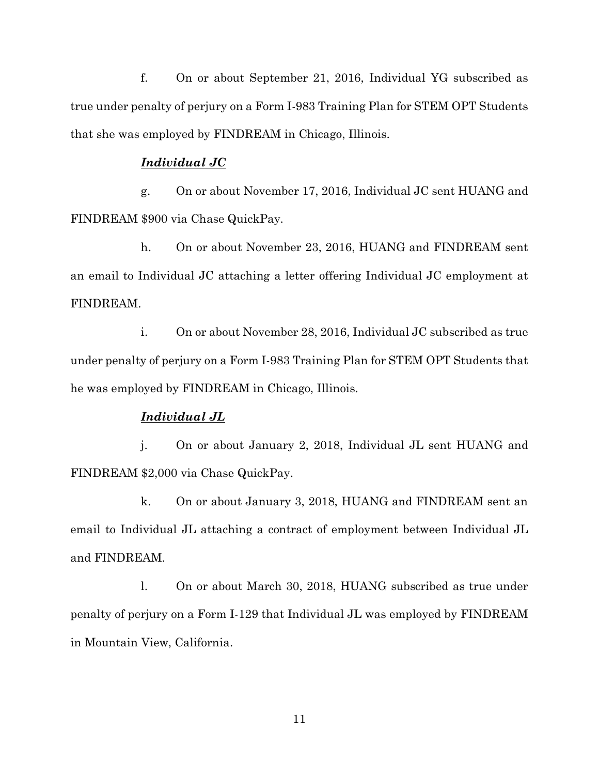f. On or about September 21, 2016, Individual YG subscribed as true under penalty of perjury on a Form I-983 Training Plan for STEM OPT Students that she was employed by FINDREAM in Chicago, Illinois.

## *Individual JC*

g. On or about November 17, 2016, Individual JC sent HUANG and FINDREAM \$900 via Chase QuickPay.

h. On or about November 23, 2016, HUANG and FINDREAM sent an email to Individual JC attaching a letter offering Individual JC employment at FINDREAM.

i. On or about November 28, 2016, Individual JC subscribed as true under penalty of perjury on a Form I-983 Training Plan for STEM OPT Students that he was employed by FINDREAM in Chicago, Illinois.

## *Individual JL*

j. On or about January 2, 2018, Individual JL sent HUANG and FINDREAM \$2,000 via Chase QuickPay.

k. On or about January 3, 2018, HUANG and FINDREAM sent an email to Individual JL attaching a contract of employment between Individual JL and FINDREAM.

l. On or about March 30, 2018, HUANG subscribed as true under penalty of perjury on a Form I-129 that Individual JL was employed by FINDREAM in Mountain View, California.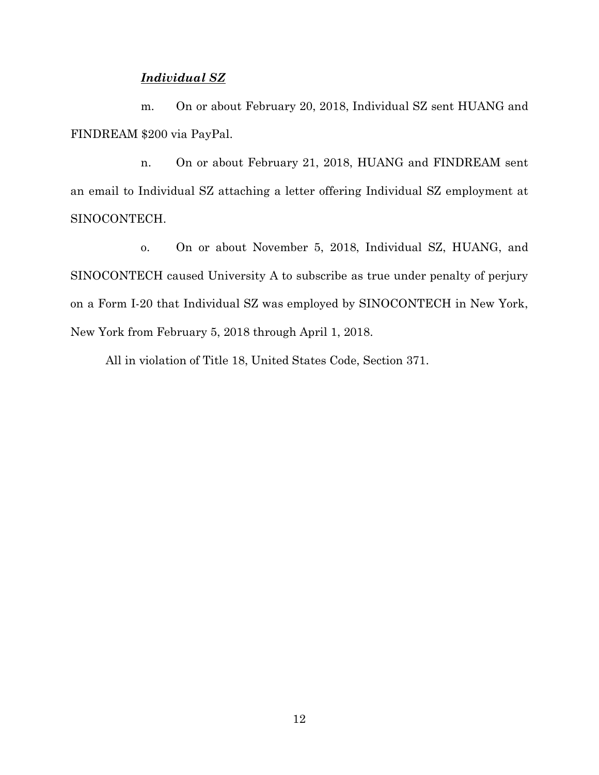## *Individual SZ*

m. On or about February 20, 2018, Individual SZ sent HUANG and FINDREAM \$200 via PayPal.

n. On or about February 21, 2018, HUANG and FINDREAM sent an email to Individual SZ attaching a letter offering Individual SZ employment at SINOCONTECH.

o. On or about November 5, 2018, Individual SZ, HUANG, and SINOCONTECH caused University A to subscribe as true under penalty of perjury on a Form I-20 that Individual SZ was employed by SINOCONTECH in New York, New York from February 5, 2018 through April 1, 2018.

All in violation of Title 18, United States Code, Section 371.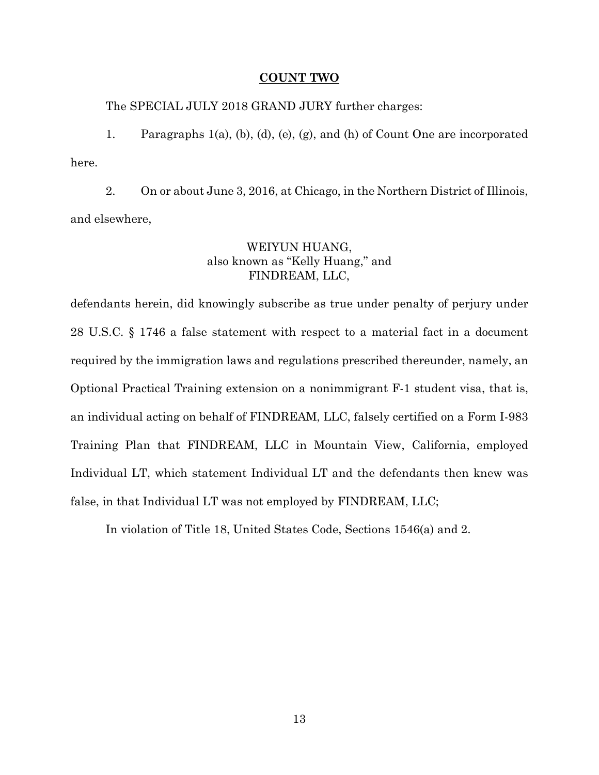#### **COUNT TWO**

The SPECIAL JULY 2018 GRAND JURY further charges:

1. Paragraphs 1(a), (b), (d), (e), (g), and (h) of Count One are incorporated here.

2. On or about June 3, 2016, at Chicago, in the Northern District of Illinois, and elsewhere,

## WEIYUN HUANG, also known as "Kelly Huang," and FINDREAM, LLC,

defendants herein, did knowingly subscribe as true under penalty of perjury under 28 U.S.C. § 1746 a false statement with respect to a material fact in a document required by the immigration laws and regulations prescribed thereunder, namely, an Optional Practical Training extension on a nonimmigrant F-1 student visa, that is, an individual acting on behalf of FINDREAM, LLC, falsely certified on a Form I-983 Training Plan that FINDREAM, LLC in Mountain View, California, employed Individual LT, which statement Individual LT and the defendants then knew was false, in that Individual LT was not employed by FINDREAM, LLC;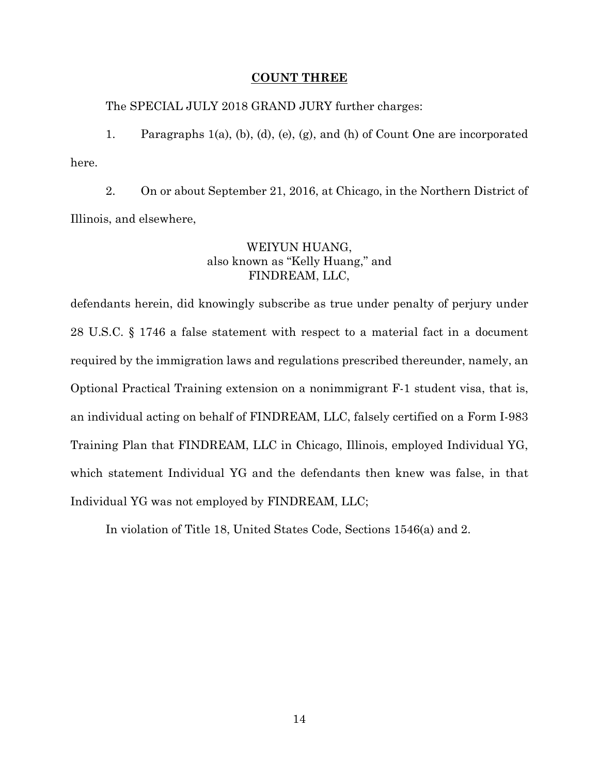### **COUNT THREE**

The SPECIAL JULY 2018 GRAND JURY further charges:

1. Paragraphs 1(a), (b), (d), (e), (g), and (h) of Count One are incorporated here.

2. On or about September 21, 2016, at Chicago, in the Northern District of Illinois, and elsewhere,

## WEIYUN HUANG, also known as "Kelly Huang," and FINDREAM, LLC,

defendants herein, did knowingly subscribe as true under penalty of perjury under 28 U.S.C. § 1746 a false statement with respect to a material fact in a document required by the immigration laws and regulations prescribed thereunder, namely, an Optional Practical Training extension on a nonimmigrant F-1 student visa, that is, an individual acting on behalf of FINDREAM, LLC, falsely certified on a Form I-983 Training Plan that FINDREAM, LLC in Chicago, Illinois, employed Individual YG, which statement Individual YG and the defendants then knew was false, in that Individual YG was not employed by FINDREAM, LLC;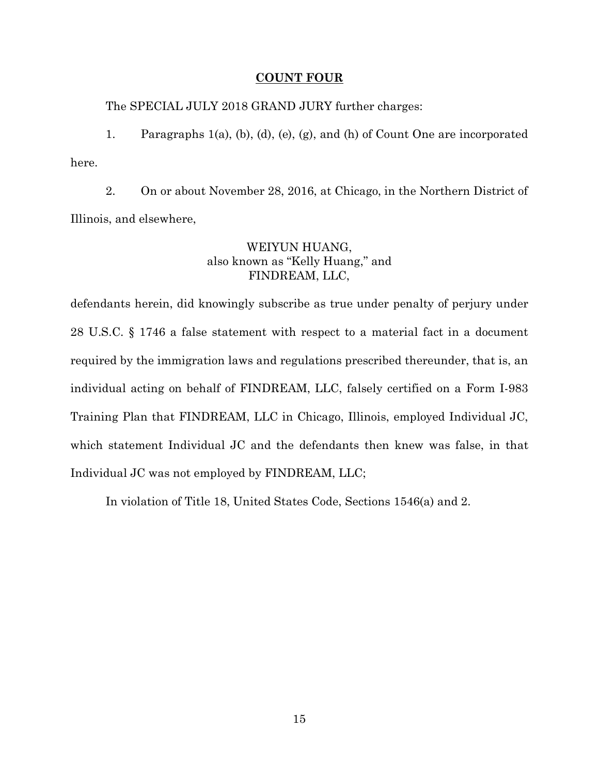### **COUNT FOUR**

The SPECIAL JULY 2018 GRAND JURY further charges:

1. Paragraphs 1(a), (b), (d), (e), (g), and (h) of Count One are incorporated here.

2. On or about November 28, 2016, at Chicago, in the Northern District of Illinois, and elsewhere,

## WEIYUN HUANG, also known as "Kelly Huang," and FINDREAM, LLC,

defendants herein, did knowingly subscribe as true under penalty of perjury under 28 U.S.C. § 1746 a false statement with respect to a material fact in a document required by the immigration laws and regulations prescribed thereunder, that is, an individual acting on behalf of FINDREAM, LLC, falsely certified on a Form I-983 Training Plan that FINDREAM, LLC in Chicago, Illinois, employed Individual JC, which statement Individual JC and the defendants then knew was false, in that Individual JC was not employed by FINDREAM, LLC;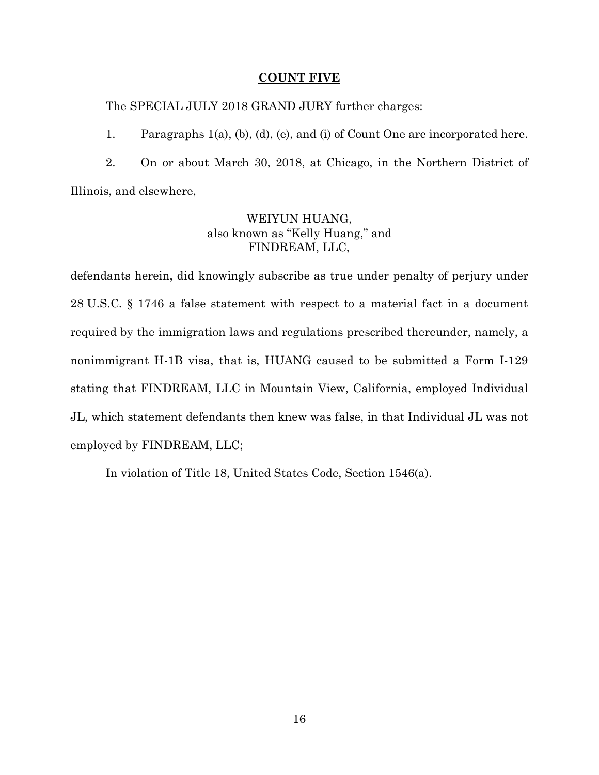## **COUNT FIVE**

The SPECIAL JULY 2018 GRAND JURY further charges:

1. Paragraphs 1(a), (b), (d), (e), and (i) of Count One are incorporated here.

2. On or about March 30, 2018, at Chicago, in the Northern District of Illinois, and elsewhere,

# WEIYUN HUANG, also known as "Kelly Huang," and FINDREAM, LLC,

defendants herein, did knowingly subscribe as true under penalty of perjury under 28 U.S.C. § 1746 a false statement with respect to a material fact in a document required by the immigration laws and regulations prescribed thereunder, namely, a nonimmigrant H-1B visa, that is, HUANG caused to be submitted a Form I-129 stating that FINDREAM, LLC in Mountain View, California, employed Individual JL, which statement defendants then knew was false, in that Individual JL was not employed by FINDREAM, LLC;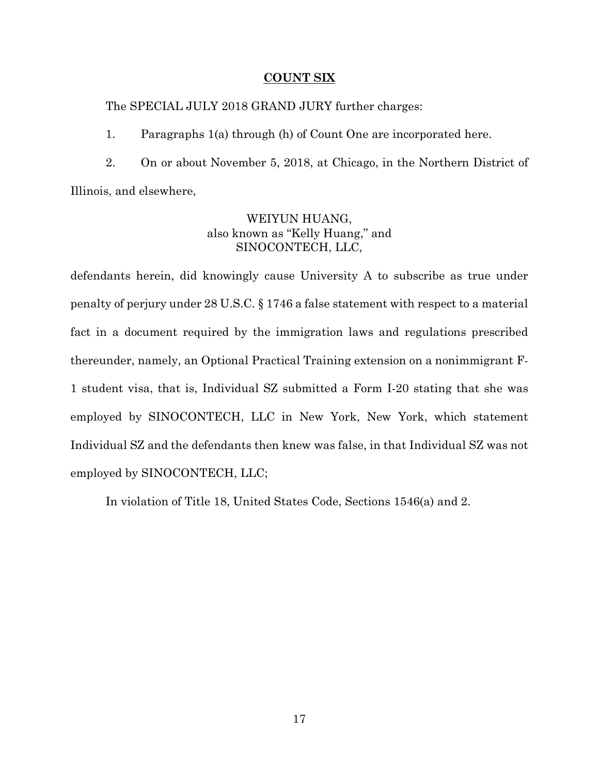## **COUNT SIX**

The SPECIAL JULY 2018 GRAND JURY further charges:

1. Paragraphs 1(a) through (h) of Count One are incorporated here.

2. On or about November 5, 2018, at Chicago, in the Northern District of Illinois, and elsewhere,

# WEIYUN HUANG, also known as "Kelly Huang," and SINOCONTECH, LLC,

defendants herein, did knowingly cause University A to subscribe as true under penalty of perjury under 28 U.S.C. § 1746 a false statement with respect to a material fact in a document required by the immigration laws and regulations prescribed thereunder, namely, an Optional Practical Training extension on a nonimmigrant F-1 student visa, that is, Individual SZ submitted a Form I-20 stating that she was employed by SINOCONTECH, LLC in New York, New York, which statement Individual SZ and the defendants then knew was false, in that Individual SZ was not employed by SINOCONTECH, LLC;